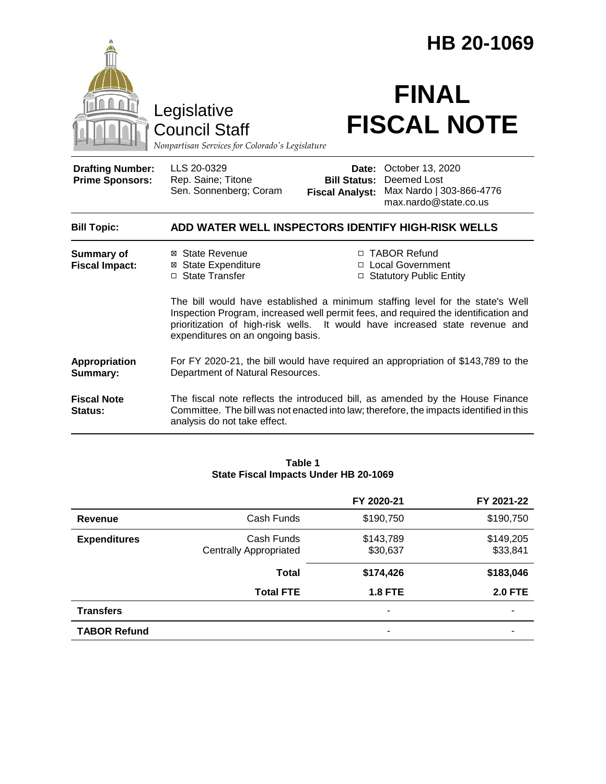|                                                                                        | HB 20-1069                                                                                                                                                                                                                                                                                |                                                                                                                                                           |  |
|----------------------------------------------------------------------------------------|-------------------------------------------------------------------------------------------------------------------------------------------------------------------------------------------------------------------------------------------------------------------------------------------|-----------------------------------------------------------------------------------------------------------------------------------------------------------|--|
| Legislative<br><b>Council Staff</b><br>Nonpartisan Services for Colorado's Legislature |                                                                                                                                                                                                                                                                                           | <b>FINAL</b><br><b>FISCAL NOTE</b>                                                                                                                        |  |
| <b>Drafting Number:</b><br><b>Prime Sponsors:</b>                                      | LLS 20-0329<br>Rep. Saine; Titone<br>Sen. Sonnenberg; Coram                                                                                                                                                                                                                               | <b>Date: October 13, 2020</b><br><b>Deemed Lost</b><br><b>Bill Status:</b><br>Max Nardo   303-866-4776<br><b>Fiscal Analyst:</b><br>max.nardo@state.co.us |  |
| <b>Bill Topic:</b>                                                                     | ADD WATER WELL INSPECTORS IDENTIFY HIGH-RISK WELLS                                                                                                                                                                                                                                        |                                                                                                                                                           |  |
| <b>Summary of</b><br><b>Fiscal Impact:</b>                                             | ⊠ State Revenue<br><b>⊠ State Expenditure</b><br>□ State Transfer                                                                                                                                                                                                                         | □ TABOR Refund<br>□ Local Government<br>□ Statutory Public Entity                                                                                         |  |
|                                                                                        | The bill would have established a minimum staffing level for the state's Well<br>Inspection Program, increased well permit fees, and required the identification and<br>prioritization of high-risk wells. It would have increased state revenue and<br>expenditures on an ongoing basis. |                                                                                                                                                           |  |
| Appropriation<br>Summary:                                                              | For FY 2020-21, the bill would have required an appropriation of \$143,789 to the<br>Department of Natural Resources.                                                                                                                                                                     |                                                                                                                                                           |  |
| <b>Fiscal Note</b><br>Status:                                                          | The fiscal note reflects the introduced bill, as amended by the House Finance<br>Committee. The bill was not enacted into law; therefore, the impacts identified in this<br>analysis do not take effect.                                                                                  |                                                                                                                                                           |  |

#### **Table 1 State Fiscal Impacts Under HB 20-1069**

|                     |                                             | FY 2020-21            | FY 2021-22            |
|---------------------|---------------------------------------------|-----------------------|-----------------------|
| Revenue             | Cash Funds                                  | \$190,750             | \$190,750             |
| <b>Expenditures</b> | Cash Funds<br><b>Centrally Appropriated</b> | \$143,789<br>\$30,637 | \$149,205<br>\$33,841 |
|                     | <b>Total</b>                                | \$174,426             | \$183,046             |
|                     | <b>Total FTE</b>                            | <b>1.8 FTE</b>        | <b>2.0 FTE</b>        |
| <b>Transfers</b>    |                                             | ۰                     |                       |
| <b>TABOR Refund</b> |                                             | ۰                     |                       |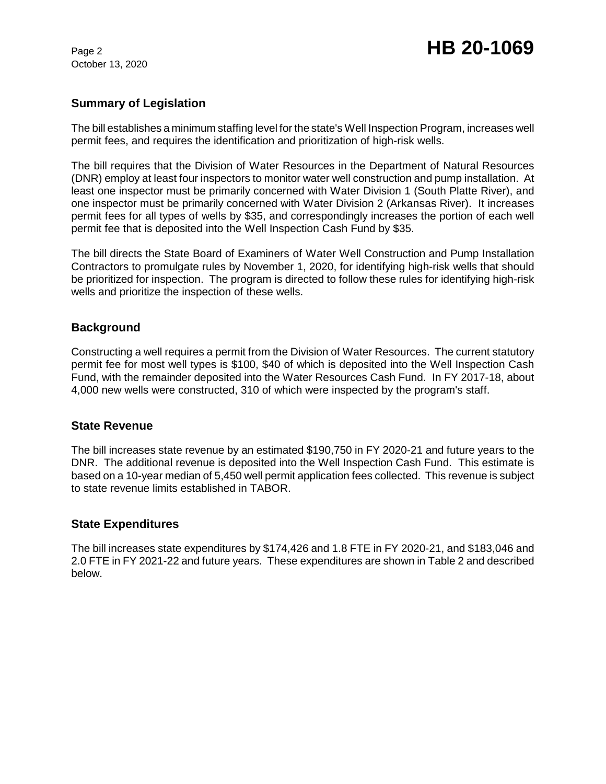October 13, 2020

# Page 2 **HB 20-1069**

## **Summary of Legislation**

The bill establishes a minimum staffing level for the state's Well Inspection Program, increases well permit fees, and requires the identification and prioritization of high-risk wells.

The bill requires that the Division of Water Resources in the Department of Natural Resources (DNR) employ at least four inspectors to monitor water well construction and pump installation. At least one inspector must be primarily concerned with Water Division 1 (South Platte River), and one inspector must be primarily concerned with Water Division 2 (Arkansas River). It increases permit fees for all types of wells by \$35, and correspondingly increases the portion of each well permit fee that is deposited into the Well Inspection Cash Fund by \$35.

The bill directs the State Board of Examiners of Water Well Construction and Pump Installation Contractors to promulgate rules by November 1, 2020, for identifying high-risk wells that should be prioritized for inspection. The program is directed to follow these rules for identifying high-risk wells and prioritize the inspection of these wells.

## **Background**

Constructing a well requires a permit from the Division of Water Resources. The current statutory permit fee for most well types is \$100, \$40 of which is deposited into the Well Inspection Cash Fund, with the remainder deposited into the Water Resources Cash Fund. In FY 2017-18, about 4,000 new wells were constructed, 310 of which were inspected by the program's staff.

#### **State Revenue**

The bill increases state revenue by an estimated \$190,750 in FY 2020-21 and future years to the DNR. The additional revenue is deposited into the Well Inspection Cash Fund. This estimate is based on a 10-year median of 5,450 well permit application fees collected. This revenue is subject to state revenue limits established in TABOR.

## **State Expenditures**

The bill increases state expenditures by \$174,426 and 1.8 FTE in FY 2020-21, and \$183,046 and 2.0 FTE in FY 2021-22 and future years. These expenditures are shown in Table 2 and described below.